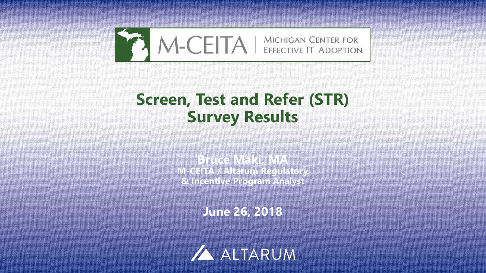

# **Screen, Test and Refer (STR) Survey Results**

**Bruce Makin MAV M-CEITA / Altarum Regulatory & Incentive Program Analyst**

**June 26, 2018**



1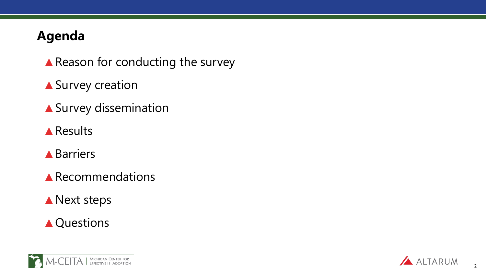# **Agenda**

- ▲ Reason for conducting the survey
- ▲ Survey creation
- ▲Survey dissemination
- ▲Results
- **▲Barriers**
- ▲Recommendations
- ▲ Next steps

# ▲ Questions



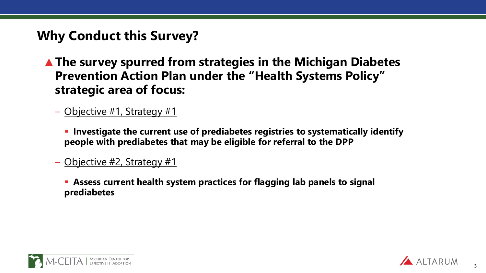# **Why Conduct this Survey?**

- ▲**The survey spurred from strategies in the Michigan Diabetes Prevention Action Plan under the "Health Systems Policy" strategic area of focus:** 
	- Objective #1, Strategy #1
		- **Investigate the current use of prediabetes registries to systematically identify people with prediabetes that may be eligible for referral to the DPP**
	- Objective #2, Strategy #1
		- **Assess current health system practices for flagging lab panels to signal prediabetes**



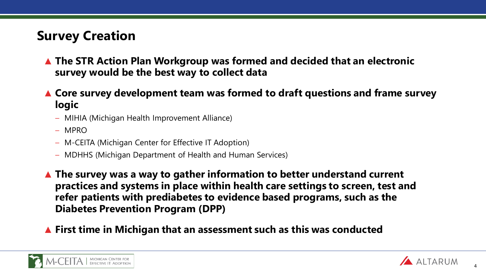# **Survey Creation**

- ▲ **The STR Action Plan Workgroup was formed and decided that an electronic survey would be the best way to collect data**
- ▲ **Core survey development team was formed to draft questions and frame survey logic**
	- MIHIA (Michigan Health Improvement Alliance)
	- MPRO
	- M-CEITA (Michigan Center for Effective IT Adoption)
	- MDHHS (Michigan Department of Health and Human Services)
- ▲ **The survey was a way to gather information to better understand current practices and systems in place within health care settings to screen, test and refer patients with prediabetes to evidence based programs, such as the Diabetes Prevention Program (DPP)**
- ▲ **First time in Michigan that an assessment such as this was conducted**



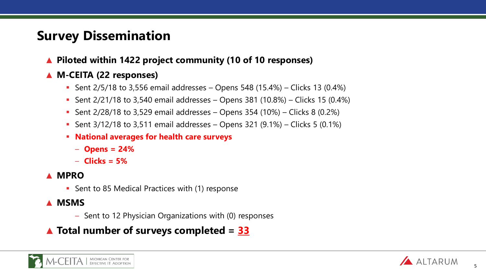# **Survey Dissemination**

▲ **Piloted within 1422 project community (10 of 10 responses)**

#### ▲ **M-CEITA (22 responses)**

- Sent  $2/5/18$  to 3,556 email addresses Opens 548 (15.4%) Clicks 13 (0.4%)
- Sent  $2/21/18$  to 3,540 email addresses Opens 381 (10.8%) Clicks 15 (0.4%)
- Sent  $2/28/18$  to 3,529 email addresses Opens 354 (10%) Clicks 8 (0.2%)
- Sent  $3/12/18$  to  $3,511$  email addresses Opens 321 (9.1%) Clicks 5 (0.1%)
- **National averages for health care surveys**
	- **Opens = 24%**
	- **Clicks = 5%**

#### ▲ **MPRO**

- Sent to 85 Medical Practices with (1) response
- ▲ **MSMS**
	- Sent to 12 Physician Organizations with (0) responses

#### ▲ **Total number of surveys completed = 33**



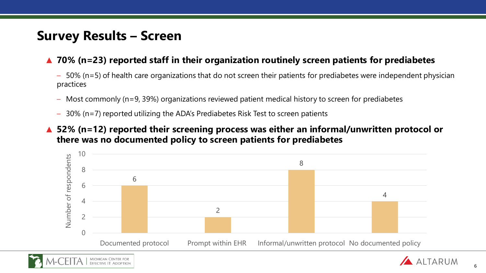# **Survey Results – Screen**

#### ▲ **70% (n=23) reported staff in their organization routinely screen patients for prediabetes**

- 50% (n=5) of health care organizations that do not screen their patients for prediabetes were independent physician practices
- Most commonly (n=9, 39%) organizations reviewed patient medical history to screen for prediabetes
- 30% (n=7) reported utilizing the ADA's Prediabetes Risk Test to screen patients

#### 52% (n=12) reported their screening process was either an informal/unwritten protocol or **there was no documented policy to screen patients for prediabetes**



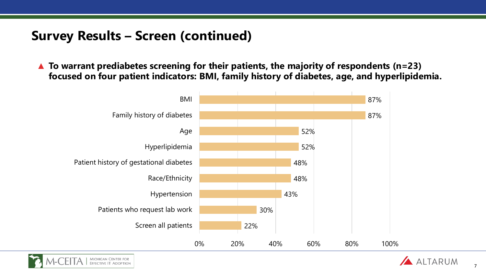## **Survey Results – Screen (continued)**

▲ **To warrant prediabetes screening for their patients, the majority of respondents (n=23) focused on four patient indicators: BMI, family history of diabetes, age, and hyperlipidemia.** 





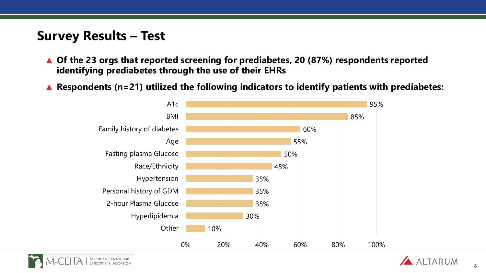## **Survey Results – Test**

- ▲ **Of the 23 orgs that reported screening for prediabetes, 20 (87%) respondents reported identifying prediabetes through the use of their EHRs**
- ▲ **Respondents (n=21) utilized the following indicators to identify patients with prediabetes:**



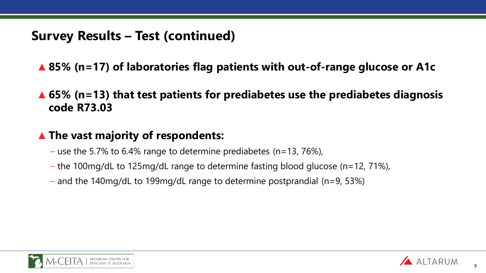## **Survey Results – Test (continued)**

- ▲ **85% (n=17) of laboratories flag patients with out-of-range glucose or A1c**
- ▲ **65% (n=13) that test patients for prediabetes use the prediabetes diagnosis code R73.03**

### ▲ **The vast majority of respondents:**

- use the 5.7% to 6.4% range to determine prediabetes (n=13, 76%),
- the 100mg/dL to 125mg/dL range to determine fasting blood glucose (n=12, 71%),
- and the 140mg/dL to 199mg/dL range to determine postprandial (n=9, 53%)



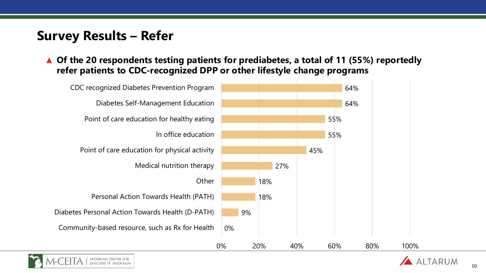# **Survey Results – Refer**

▲ **Of the 20 respondents testing patients for prediabetes, a total of 11 (55%) reportedly refer patients to CDC-recognized DPP or other lifestyle change programs**



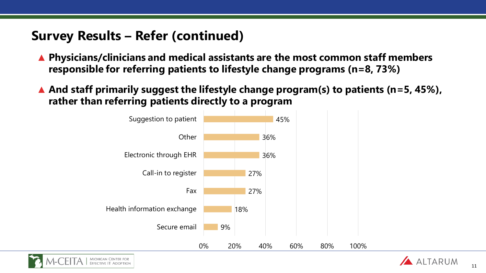## **Survey Results – Refer (continued)**

- ▲ **Physicians/clinicians and medical assistants are the most common staff members responsible for referring patients to lifestyle change programs (n=8, 73%)**
- ▲ **And staff primarily suggest the lifestyle change program(s) to patients (n=5, 45%), rather than referring patients directly to a program**





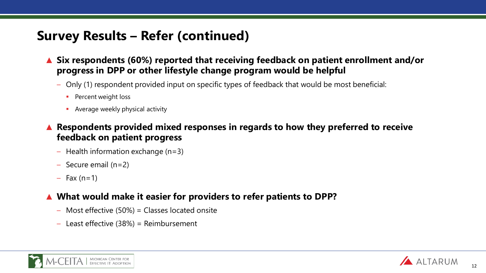# **Survey Results – Refer (continued)**

- **Six respondents (60%) reported that receiving feedback on patient enrollment and/or progress in DPP or other lifestyle change program would be helpful** 
	- Only (1) respondent provided input on specific types of feedback that would be most beneficial:
		- **Percent weight loss**
		- **Average weekly physical activity**
- ▲ **Respondents provided mixed responses in regards to how they preferred to receive feedback on patient progress**
	- $-$  Health information exchange (n=3)
	- Secure email (n=2)
	- $-$  Fax (n=1)

#### ▲ **What would make it easier for providers to refer patients to DPP?**

- Most effective (50%) = Classes located onsite
- Least effective (38%) = Reimbursement



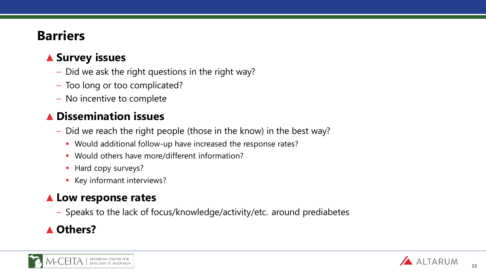# **Barriers**

## ▲ **Survey issues**

- Did we ask the right questions in the right way?
- Too long or too complicated?
- No incentive to complete

### **Dissemination issues**

- Did we reach the right people (those in the know) in the best way?
	- Would additional follow-up have increased the response rates?
	- Would others have more/different information?
	- Hard copy surveys?
	- Key informant interviews?

### ▲ **Low response rates**

– Speaks to the lack of focus/knowledge/activity/etc. around prediabetes

## **Others?**



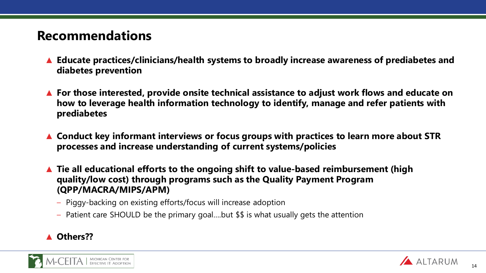# **Recommendations**

- ▲ **Educate practices/clinicians/health systems to broadly increase awareness of prediabetes and diabetes prevention**
- ▲ **For those interested, provide onsite technical assistance to adjust work flows and educate on how to leverage health information technology to identify, manage and refer patients with prediabetes**
- ▲ Conduct key informant interviews or focus groups with practices to learn more about STR **processes and increase understanding of current systems/policies**
- ▲ **Tie all educational efforts to the ongoing shift to value-based reimbursement (high quality/low cost) through programs such as the Quality Payment Program (QPP/MACRA/MIPS/APM)**
	- Piggy-backing on existing efforts/focus will increase adoption
	- Patient care SHOULD be the primary goal….but \$\$ is what usually gets the attention

#### ▲ **Others??**

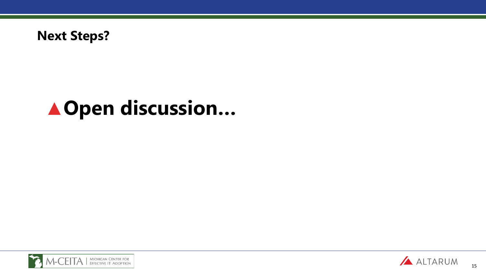

# ▲**Open discussion…**